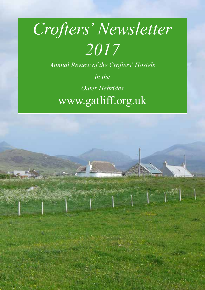# *Crofters' Newsletter 2017*

*Annual Review of the Crofters' Hostels* 

*in the Outer Hebrides*  www.gatliff.org.uk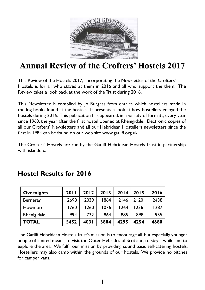

# **Annual Review of the Crofters' Hostels 2017**

This Review of the Hostels 2017, incorporating the Newsletter of the Crofters' Hostels is for all who stayed at them in 2016 and all who support the them. The Review takes a look back at the work of the Trust during 2016.

This Newsletter is compiled by Jo Burgess from entries which hostellers made in the log books found at the hostels. It presents a look at how hostellers enjoyed the hostels during 2016. This publication has appeared, in a variety of formats, every year since 1963, the year after the first hostel opened at Rhenigidale. Electronic copies of all our Crofters' Newsletters and all our Hebridean Hostellers newsletters since the first in 1984 can be found on our web site www.gatliff.org.uk

The Crofters' Hostels are run by the Gatliff Hebridean Hostels Trust in partnership with islanders.

| <b>Overnights</b> | 2011 | 2012  | 2013 | 2014 | 2015 | 2016 |
|-------------------|------|-------|------|------|------|------|
| <b>Berneray</b>   | 2698 | 2039  | 1864 | 2146 | 2120 | 2438 |
| Howmore           | 1760 | 1260  | 1076 | 1264 | 1236 | 1287 |
| Rhenigidale       | 994  | 732   | 864  | 885  | 898  | 955  |
| <b>TOTAL</b>      | 5452 | 403 I | 3804 | 4295 | 4254 | 4680 |

## **Hostel Results for 2016**

The Gatliff Hebridean Hostels Trust's mission is to encourage all, but especially younger people of limited means, to visit the Outer Hebrides of Scotland, to stay a while and to explore the area. We fulfil our mission by providing sound basis self-catering hostels. Hostellers may also camp within the grounds of our hostels. We provide no pitches for camper vans.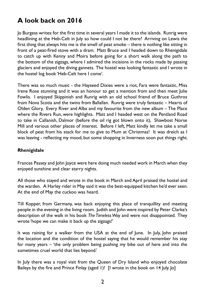## **A look back on 2016**

Jo Burgess writes: for the first time in several years I made it to the islands. Runrig were headlining at the Heb-Celt in July so how could I not be there? Arriving on Lewis the first thing that always hits me is the smell of peat smoke – there is nothing like sitting in front of a peat-fired stove with a dram. Matt Bruce and I headed down to Rhenigidale to catch up with Kenny and Moira before going for a short walk along the path to the bottom of the zigzags, where I admired the incisions in the rocks made by passing glaciers and enjoyed the diving gannets. The hostel was looking fantastic and I wrote in the hostel log book 'Heb-Celt here I come'.

There was so much music - the Hayseed Dixies were a riot, Fara were fantastic, Miss Irene Rose stunning and it was an honour to get a mention from and then meet Julie Fowlis. I enjoyed Skippinish and Runrig with an old school friend of Bruce Guthros from Nova Scotia and the twins from Ballallan. Runrig were truly fantastic – Hearts of Olden Glory, Every River and Alba and my favourite from the new album – The Place where the Rivers Run, were highlights. Matt and I headed west on the Pentland Road to take in Callanish, Dalmor (before the oil rig got blown onto it), Shawbost Norse Mill and various other places of interest. Before I left, Matt kindly let me take a small block of peat from his stack for me to give to Mum at Christmas! It was dreich as I was leaving - reflecting my mood, but some shopping in Inverness soon put things right.

#### **Rhenigidale**

Frances Passey and John Joyce were here doing much needed work in March when they enjoyed sunshine and clear starry nights.

All those who stayed and wrote in the book in March and April praised the hostel and the warden. A Harley rider in May said it was the best-equipped kitchen he'd ever seen. At the end of May the cuckoo was heard.

Till Kopper, from Germany, was back enjoying this place of tranquillity and meeting people in the evening in the living room. Judith and John were inspired by Peter Clarke's description of the walk in his book *The Timeless Way* and were not disappointed. They wrote 'hope we can make it back up the zigzags!'

It was raining for a walker from the USA at the end of June. In July, John praised the location and the condition of the hostel saying that he would remember his stay for many years – 'the only problem being pushing my bike out of here and into the sometimes cruel world that lies beyond.'

In July there was a royal visit from the Queen of Dry Island who enjoyed chocolate Baileys by the fire and Prince Finlay (aged 1)! [I wrote in the book on 14 July. Jo]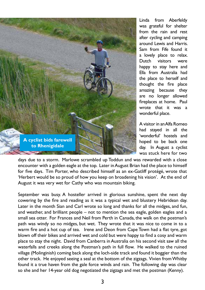

Linda from Aberfeldy was grateful for shelter from the rain and rest after cycling and camping around Lewis and Harris. Sam from Fife found it a lovely place to relax. Dutch visitors were happy to stay here and Ella from Australia had the place to herself and thought the fire place amazing because they are no longer allowed fireplaces at home. Paul wrote that it was a wonderful place.

A visitor in an Alfa Romeo had stayed in all the 'wonderful' hostels and hoped to be back one day. In August a cyclist was stuck here for two

days due to a storm. Marlowe scrambled up Toddun and was rewarded with a close encounter with a golden eagle at the top. Later in August Brian had the place to himself for five days. Tim Porter, who described himself as an ex-Gatliff protégé, wrote that 'Herbert would be so proud of how you keep on broadening his vision'. At the end of August it was very wet for Cathy who was mountain biking.

September was busy. A hosteller arrived in glorious sunshine, spent the next day cowering by the fire and reading as it was a typical wet and blustery Hebridean day. Later in the month Sian and Carl wrote so long and thanks for all the midges, and fun, and weather, and brilliant people – not to mention the sea eagle, golden eagles and a small sea otter. For Frances and Neil from Perth in Canada, the walk on the postman's path was windy so no midges, but wet. They wrote that it was nice to come in to a warm fire and a hot cup of tea. Irene and Deon from Cape Town had a flat tyre, got blown off their bikes and arrived wet and cold but were happy to find a cosy and warm place to stay the night. David from Canberra in Australia on his second visit saw all the waterfalls and creeks along the Postman's path in full flow. He walked to the ruined village (Molinginish) coming back along the loch-side track and found it boggier than the other track. He enjoyed seeing a seal at the bottom of the zigzags. Vivien from Whitby found it a true haven from the gale force winds and rain. The following day was clear so she and her 14-year old dog negotiated the zigzags and met the postman (Kenny).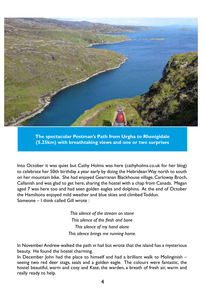

**The spectacular Postman's Path from Urgha to Rhenigidale (5.25km) with breathtaking views and one or two surprises**

Into October it was quiet but Cathy Holms was here (cathyholms.co.uk for her blog) to celebrate her 50th birthday a year early by doing the Hebridean Way north to south on her mountain bike. She had enjoyed Gearranan Blackhouse village, Carloway Broch, Callanish and was glad to get here, sharing the hostel with a chap from Canada. Megan aged 7 was here too and had seen golden eagles and dolphins. At the end of October the Hamiltons enjoyed mild weather and blue skies and climbed Toddun. Someone – I think called Gill wrote :

> *This silence of the stream on stone This silence of the flesh and bone This silence of my hand alone This silence brings me running home.*

In November Andrew walked the path in hail but wrote that the island has a mysterious beauty. He found the hostel charming.

In December John had the place to himself and had a brilliant walk to Molinginish – seeing two red deer stags, seals and a golden eagle. The colours were fantastic, the hostel beautiful, warm and cosy and Kate, the warden, a breath of fresh air, warm and really ready to help.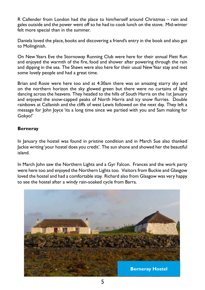R Callender from London had the place to him/herself around Christmas – rain and gales outside and the power went off so he had to cook lunch on the stove. Mid-winter felt more special than in the summer.

Daniela loved the place, books and discovering a friend's entry in the book and also got to Molinginish.

On New Years Eve the Stornoway Running Club were here for their annual Flett Run and enjoyed the warmth of the fire, food and shower after powering through the rain and dipping in the sea. The Shaws were also here for their usual New Year stay and met some lovely people and had a great time.

Brian and Rosie were here too and at 4:30am there was an amazing starry sky and on the northern horizon the sky glowed green but there were no curtains of light dancing across the heavens. They headed to the hills of South Harris on the 1st January and enjoyed the snow-capped peaks of North Harris and icy snow flurries. Double rainbows at Callanish and the cliffs of west Lewis followed on the next day. They left a message for John Joyce 'its a long time since we partied with you and Sam making for Gokyo!'

#### **Berneray**

In January the hostel was found in pristine condition and in March Sue also thanked Jackie writing 'your hostel does you credit'. The sun shone and showed her the beautiful island.

In March John saw the Northern Lights and a Gyr Falcon. Frances and the work party were here too and enjoyed the Northern Lights too. Visitors from Buckie and Glasgow loved the hostel and had a comfortable stay. Richard also from Glasgow was very happy to see the hostel after a windy rain-soaked cycle from Barra.

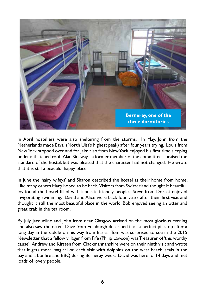

In April hostellers were also sheltering from the storms. In May, John from the Netherlands made Eaval (North Uist's highest peak) after four years trying. Louis from New York stopped over and for Jake also from New York enjoyed his first time sleeping under a thatched roof. Alan Sidaway - a former member of the committee - praised the standard of the hostel, but was pleased that the character had not changed. He wrote that it is still a peaceful happy place.

In June the 'hairy wifeys' and Sharon described the hostel as their home from home. Like many others Mary hoped to be back. Visitors from Switzerland thought it beautiful. Joy found the hostel filled with fantastic friendly people. Steve from Dorset enjoyed invigorating swimming. David and Alice were back four years after their first visit and thought it still the most beautiful place in the world. Bob enjoyed seeing an otter and great crab in the tea room.

By July Jacqueline and John from near Glasgow arrived on the most glorious evening and also saw the otter. Dave from Edinburgh described it as a perfect pit stop after a long day in the saddle on his way from Barra. Tom was surprised to see in the 2015 Newsletter that a fellow villager from Fife (Philip Lawson) was Treasurer of 'this worthy cause'. Andrew and Kirsten from Clackmannanshire were on their ninth visit and wrote that it gets more magical on each visit with dolphins on the west beach, seals in the bay and a bonfire and BBQ during Berneray week. David was here for14 days and met loads of lovely people.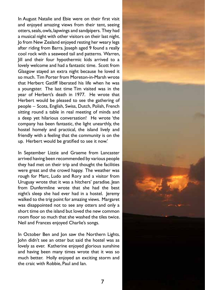In August Natalie and Ebie were on their first visit and enjoyed amazing views from their tent, seeing otters, seals, owls, lapwings and sandpipers. They had a musical night with other visitors on their last night. Jo from New Zealand enjoyed resting her weary legs after riding from Barra. Joseph aged 9 found a really cool rock with a seaweed tail and patterns. Warren, Jill and their four hypothermic kids arrived to a lovely welcome and had a fantastic time. Scott from Glasgow stayed an extra night because he loved it so much. Tim Porter from Moreton-in-Marsh wrote that Herbert Gatliff liberated his life when he was a youngster. The last time Tim visited was in the year of Herbert's death in 1977. He wrote that Herbert would be pleased to see the gathering of people – Scots, English, Swiss, Dutch, Polish, French sitting round a table in real meeting of minds and a deep yet hilarious conversation! He wrote 'the company has been fantastic, the light unearthly, the hostel homely and practical, the island lively and friendly with a feeling that the community is on the up. Herbert would be gratified to see it now.'

In September Lizzie and Graeme from Lancaster arrived having been recommended by various people they had met on their trip and thought the facilities were great and the crowd happy. The weather was rough for Marc, Ludo and Rory and a visitor from Uruguay wrote that it was a hitchers' paradise. Jean from Dunfermline wrote that she had the best night's sleep she had ever had in a hostel. Jeremy walked to the trig point for amazing views. Margaret was disappointed not to see any otters and only a short time on the island but loved the new common room floor so much that she washed the tiles twice. Neil and Frances enjoyed Charlie's songs.

In October Ben and Jon saw the Northern Lights. John didn't see an otter but said the hostel was as lovely as ever. Katherine enjoyed glorious sunshine and having been many times wrote that it was so much better. Holly enjoyed an exciting storm and the craic with Robbie, Paul and Ian.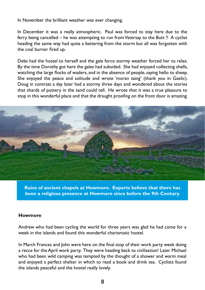In November the brilliant weather was ever changing.

In December it was a really atmospheric. Paul was forced to stay here due to the ferry being cancelled – he was attempting to run from Vatersay to the Butt !! A cyclist heading the same way had quite a battering from the storm but all was forgotten with the coal burner fired up.

Debs had the hostel to herself and the gale force stormy weather forced her to relax. By the time Dorothy got here the gales had subsided. She had enjoyed collecting shells, watching the large flocks of waders, and in the absence of people, saying hello to sheep. She enjoyed the peace and solitude and wrote 'moran taing' (thank you in Gaelic). Doug in contrast a day later had a stormy three days and wondered about the stories that shards of pottery in the sand could tell. He wrote that it was a true pleasure to stop in this wonderful place and that the draught proofing on the front door is amazing.



**Ruins of ancient chapels at Howmore. Experts believe that there has been a religious presence at Howmore since before the 9th Century.**

#### **Howmore**

Andrew who had been cycling the world for three years was glad he had come for a week in the islands and found this wonderful charismatic hostel.

In March Frances and John were here on the final stop of their work party week doing a recce for the April work party. They were heading back to civilisation! Later Michael who had been wild camping was tempted by the thought of a shower and warm meal and enjoyed a perfect shelter in which to read a book and drink tea. Cyclists found the islands peaceful and the hostel really lovely.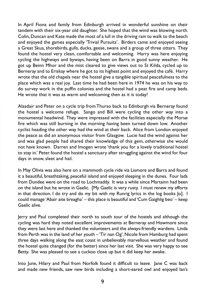In April Fiona and family from Edinburgh arrived in wonderful sunshine on their tandem with their six-year old daughter. She hoped that the wind was blowing north. Colin, Duncan and Kate made the most of a lull in the driving rain to walk to the beach and enjoyed the games especially 'Trivial Pursuits'. Birders came and enjoyed seeing a Great Skua, shorebirds, gulls, ducks, geese, swans and a group of three otters. They found the hostel very clean, comfortable and welcoming. Harry was here enjoying cycling the highways and byways, having been on Barra in good sunny weather. He got up Beinn Mhor and the mist cleared to give views out to St Kilda, cycled up to Berneray and to Eriskay where he got to its highest point and enjoyed the café. Harry wrote that the old chapels near the hostel give a tangible spiritual peacefulness to the place which was a real joy. Last time he had been here in 1974 he was on his way to do survey work in the puffin colonies and the hostel had a peat fire and camp beds. He wrote that it was as warm and welcoming then as it is today!

Alasdair and Peter on a cycle trip from Thurso back to Edinburgh via Berneray found the hostel a welcome refuge. Sango and Bill were cycling the other way into a monumental headwind. They were impressed with the facilities especially the Morsø fire which was still burning in the morning having been turned down low. Another cyclist heading the other way had the wind at their back. Alice from London enjoyed the peace as did an anonymous visitor from Glasgow. Lucie had the wind against her and was glad people had shared their knowledge of this gem, otherwise she would not have known. Darren and Imogen wrote 'thank you for a lovely traditional hostel to stay in.' Peter found the hostel a sanctuary after struggling against the wind for four days in snow, sleet and hail.

In May Olivia was also here on a mammoth cycle ride via Lismore and Barra and found it a beautiful, breathtaking, peaceful island and enjoyed sleeping in the dunes. Four lads from Dundee were on the road to Lochmaddy. It was a while since Martainn had been on the island but he wrote in Gaelic. [My Gaelic is very rusty. I must renew my efforts in that direction. I do try and do my bit with my Runrig lyrics in the log books Jo]. I could manage 'Abair aite breagha' – this place is beautiful and 'Cum Gaighlig beo' – keep Gaelic alive.

Jerry and Paul completed their north to south tour of the hostels and although the cycling was hard they noted excellent improvements at Berneray and Howmore since they were last here and thanked the volunteers and the always-friendly wardens. Linda from Perth was in the land of her youth – 'Tir nan Og'. Nicole from Hamburg had spent three days walking along the east coast in unbelievably marvellous weather and found the hostel quite changed (for the better) since her last visit. She was very happy to see Betty. She was pleased to see a cuckoo close up but it did keep her awake.

Into June, Hilary and Paul from Norfolk found it difficult to leave. Jane C was back and made new friends, saw new birds including a short-eared owl and enjoyed Ian's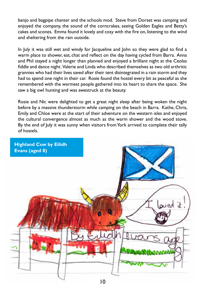banjo and bagpipe chanter and the schools mod. Steve from Dorset was camping and enjoyed the company, the sound of the corncrakes, seeing Golden Eagles and Betty's cakes and scones. Emma found it lovely and cosy with the fire on, listening to the wind and sheltering from the rain outside.

In July it was still wet and windy for lacqueline and John so they were glad to find a warm place to shower, eat, chat and reflect on the day having cycled from Barra. Anna and Phil stayed a night longer than planned and enjoyed a brilliant night at the Ceolas fiddle and dance night. Valerie and Linda who described themselves as two old arthritic grannies who had their lives saved after their tent disintegrated in a rain storm and they had to spend one night in their car. Rosie found the hostel every bit as peaceful as she remembered with the warmest people gathered into its heart to share the space. She saw a big owl hunting and was awestruck at the beauty.

Rosie and Nic were delighted to get a great night sleep after being woken the night before by a massive thunderstorm while camping on the beach in Barra. Kathe, Chris, Emily and Chloe were at the start of their adventure on the western isles and enjoyed the cultural convergence almost as much as the warm shower and the wood stove. By the end of July it was sunny when visitors from York arrived to complete their tally of hostels.

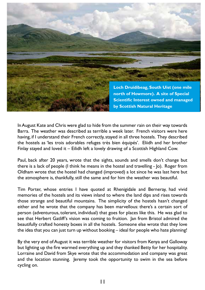

In August Kate and Chris were glad to hide from the summer rain on their way towards Barra. The weather was described as terrible a week later. French visitors were here having, if I understand their French correctly, stayed in all three hostels. They described the hostels as 'les trois adorables refuges très bien équipés'. Eliidh and her brother Finlay stayed and loved it – Eilidh left a lovely drawing of a Scottish Highland Cow.

Paul, back after 20 years, wrote that the sights, sounds and smells don't change but there is a lack of people (I think he means in the hostel and travelling - Jo). Roger from Oldham wrote that the hostel had changed (improved) a lot since he was last here but the atmosphere is, thankfully, still the same and for him the weather was beautiful.

Tim Porter, whose entries I have quoted at Rhenigidale and Berneray, had vivid memories of the hostels and its views inland to where the land dips and rises towards those strange and beautiful mountains. The simplicity of the hostels hasn't changed either and he wrote that the company has been marvellous: there's a certain sort of person (adventurous, tolerant, individual) that goes for places like this. He was glad to see that Herbert Gatliff's vision was coming to fruition. Jan from Bristol admired the beautifully crafted honesty boxes in all the hostels. Someone else wrote that they love the idea that you can just turn up without booking – ideal for people who hate planning!

By the very end of August it was terrible weather for visitors from Kenya and Galloway but lighting up the fire warmed everything up and they thanked Betty for her hospitality. Lorraine and David from Skye wrote that the accommodation and company was great and the location stunning. Jeremy took the opportunity to swim in the sea before cycling on.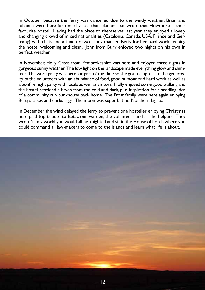In October because the ferry was cancelled due to the windy weather, Brian and Johanna were here for one day less than planned but wrote that Howmore is their favourite hostel. Having had the place to themselves last year they enjoyed a lovely and changing crowd of mixed nationalities (Catalonia, Canada, USA, France and Germany) with chats and a tune or two. They thanked Betty for her hard work keeping the hostel welcoming and clean. John from Bury enjoyed two nights on his own in perfect weather.

In November, Holly Cross from Pembrokeshire was here and enjoyed three nights in gorgeous sunny weather. The low light on the landscape made everything glow and shimmer. The work party was here for part of the time so she got to appreciate the generosity of the volunteers with an abundance of food, good humour and hard work as well as a bonfire night party with locals as well as visitors. Holly enjoyed some good walking and the hostel provided a haven from the cold and dark, plus inspiration for a seedling idea of a community run bunkhouse back home. The Frost family were here again enjoying Betty's cakes and ducks eggs. The moon was super but no Northern Lights.

In December the wind delayed the ferry to prevent one hosteller enjoying Christmas here paid top tribute to Betty, our warden, the volunteers and all the helpers. They wrote 'in my world you would all be knighted and sit in the House of Lords where you could command all law-makers to come to the islands and learn what life is about.'

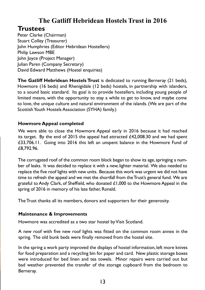## **The Gatliff Hebridean Hostels Trust in 2016**

## **Trustees**

Peter Clarke (Chairman) Stuart Colley (Treasurer) John Humphries (Editor Hebridean Hostellers) Philip Lawson MBE John Joyce (Project Manager) Julian Paren (Company Secretary) David Edward Matthews (Hostel enquiries)

**The Gatliff Hebridean Hostels Trust** is dedicated to running Berneray (21 beds), Howmore (16 beds) and Rhenigidale (12 beds) hostels, in partnership with islanders, to a sound basic standard. Its goal is to provide hostellers, including young people of limited means, with the opportunity to stay a while to get to know, and maybe come to love, the unique culture and natural environment of the islands. (We are part of the Scottish Youth Hostels Association (SYHA) family.)

#### **Howmore Appeal completed**

We were able to close the Howmore Appeal early in 2016 because it had reached its target. By the end of 2015 the appeal had attracted £42,008.30 and we had spent £33,706.11. Going into 2016 this left an unspent balance in the Howmore Fund of £8,792.96.

The corrugated roof of the common room block began to show its age, springing a number of leaks. It was decided to replace it with a new, lighter material. We also needed to replace the five roof lights with new units. Because this work was urgent we did not have time to refresh the appeal and we met the shortfall from the Trust's general fund. We are grateful to Andy Clark, of Sheffield, who donated  $£1,000$  to the Howmore Appeal in the spring of 2016 in memory of his late father, Ronald.

The Trust thanks all its members, donors and supporters for their generosity.

#### **Maintenance & Improvements**

Howmore was accredited as a two star hostel by Visit Scotland.

A new roof with five new roof lights was fitted on the common room annex in the spring. The old bunk beds were finally removed from the hostel site.

In the spring a work party improved the displays of hostel information, left more knives for food preparation and a recycling bin for paper and card. New plastic storage boxes were introduced for bed linen and tea towels. Minor repairs were carried out but bad weather prevented the transfer of the storage cupboard from the bedroom to Berneray.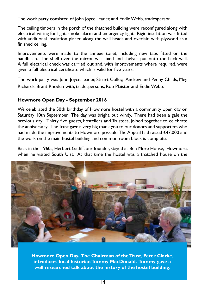The work party consisted of John Joyce, leader, and Eddie Webb, tradesperson.

The ceiling timbers in the porch of the thatched building were reconfigured along with electrical wiring for light, smoke alarm and emergency light. Rigid insulation was fitted with additional insulation placed along the wall heads and overlaid with plywood as a finished ceiling.

Improvements were made to the annexe toilet, including new taps fitted on the handbasin. The shelf over the mirror was fixed and shelves put onto the back wall. A full electrical check was carried out and, with improvements where required, were given a full electrical certificate which is valid for five years.

The work party was John Joyce, leader, Stuart Colley, Andrew and Penny Childs, Meg Richards, Brant Rhoden with, tradespersons, Rob Plaister and Eddie Webb.

#### **Howmore Open Day - September 2016**

We celebrated the 50th birthday of Howmore hostel with a community open day on Saturday 10th September. The day was bright, but windy. There had been a gale the previous day! Thirty five guests, hostellers and Trustees, joined together to celebrate the anniversary. The Trust gave a very big thank you to our donors and supporters who had made the improvements to Howmore possible. The Appeal had raised £47,000 and the work on the main hostel building and common room block is complete.

Back in the 1960s, Herbert Gatliff, our founder, stayed at Ben More House, Howmore, when he visited South Uist. At that time the hostel was a thatched house on the



**Howmore Open Day. The Chairman of the Trust, Peter Clarke, introduces local historian Tommy MacDonald. Tommy gave a well researched talk about the history of the hostel building.**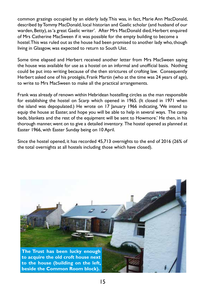common grazings occupied by an elderly lady. This was, in fact, Marie Ann MacDonald, described by Tommy MacDonald, local historian and Gaelic scholar (and husband of our warden, Betty), as 'a great Gaelic writer'. After Mrs MacDonald died, Herbert enquired of Mrs Catherine MacSween if it was possible for the empty building to become a hostel. This was ruled out as the house had been promised to another lady who, though living in Glasgow, was expected to return to South Uist.

Some time elapsed and Herbert received another letter from Mrs MacSween saying the house was available for use as a hostel on an informal and unofficial basis. Nothing could be put into writing because of the then strictures of crofting law. Consequently Herbert asked one of his protégés, Frank Martin (who at the time was 24 years of age), to write to Mrs MacSween to make all the practical arrangements.

Frank was already of renown within Hebridean hostelling circles as the man responsible for establishing the hostel on Scarp which opened in 1965. (It closed in 1971 when the island was depopulated.) He wrote on 17 January 1966 indicating, 'We intend to equip the house at Easter, and hope you will be able to help in several ways. The camp beds, blankets and the rest of the equipment will be sent to Howmore.' He then, in his thorough manner, went on to give a detailed inventory. The hostel opened as planned at Easter 1966, with Easter Sunday being on 10 April.

Since the hostel opened, it has recorded 45,713 overnights to the end of 2016 (26% of the total overnights at all hostels including those which have closed).

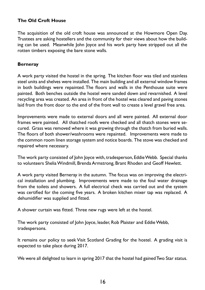#### **The Old Croft House**

The acquisition of the old croft house was announced at the Howmore Open Day. Trustees are asking hostellers and the community for their views about how the building can be used. Meanwhile John Joyce and his work party have stripped out all the rotten timbers exposing the bare stone walls.

#### **Berneray**

A work party visited the hostel in the spring. The kitchen floor was tiled and stainless steel units and shelves were installed. The main building and all external window frames in both buildings were repainted. The floors and walls in the Penthouse suite were painted. Both benches outside the hostel were sanded down and revarnished. A level recycling area was created. An area in front of the hostel was cleared and paving stones laid from the front door to the end of the front wall to create a level gravel free area.

Improvements were made to external doors and all were painted. All external door frames were painted. All thatched roofs were checked and all thatch stones were secured. Grass was removed where it was growing through the thatch from buried walls. The floors of both shower/washrooms were repainted. Improvements were made to the common room linen storage system and notice boards. The stove was checked and repaired where necessary.

The work party consisted of John Joyce with, tradesperson, Eddie Webb. Special thanks to volunteers Shelia Windmill, Brenda Armstrong, Brant Rhoden and Geoff Hewlett.

A work party visited Berneray in the autumn. The focus was on improving the electrical installation and plumbing. Improvements were made to the foul water drainage from the toilets and showers. A full electrical check was carried out and the system was certified for the coming five years. A broken kitchen mixer tap was replaced. A dehumidifier was supplied and fitted.

A shower curtain was fitted. Three new rugs were left at the hostel.

The work party consisted of John Joyce, leader, Rob Plaister and Eddie Webb, tradespersons.

It remains our policy to seek Visit Scotland Grading for the hostel. A grading visit is expected to take place during 2017.

We were all delighted to learn in spring 2017 that the hostel had gained Two Star status.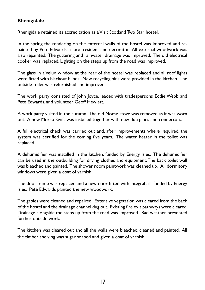#### **Rhenigidale**

Rhenigidale retained its accreditation as a Visit Scotland Two Star hostel.

In the spring the rendering on the external walls of the hostel was improved and repainted by Pete Edwards, a local resident and decorator. All external woodwork was also repainted. The guttering and rainwater drainage was improved. The old electrical cooker was replaced. Lighting on the steps up from the road was improved.

The glass in a Velux window at the rear of the hostel was replaced and all roof lights were fitted with blackout blinds. New recycling bins were provided in the kitchen. The outside toilet was refurbished and improved.

The work party consisted of John Joyce, leader, with tradespersons Eddie Webb and Pete Edwards, and volunteer Geoff Hewlett.

A work party visited in the autumn. The old Morsø stove was removed as it was worn out. A new Morsø Swift was installed together with new flue pipes and connectors.

A full electrical check was carried out and, after improvements where required, the system was certified for the coming five years. The water heater in the toilet was replaced .

A dehumidifier was installed in the kitchen, funded by Energy Isles. The dehumidifier can be used in the outbuilding for drying clothes and equipment. The back toilet wall was bleached and painted. The shower room paintwork was cleaned up. All dormitory windows were given a coat of varnish.

The door frame was replaced and a new door fitted with integral sill, funded by Energy Isles. Pete Edwards painted the new woodwork.

The gables were cleaned and repaired. Extensive vegetation was cleared from the back of the hostel and the drainage channel dug out. Existing fire exit pathways were cleared. Drainage alongside the steps up from the road was improved. Bad weather prevented further outside work.

The kitchen was cleared out and all the walls were bleached, cleaned and painted. All the timber shelving was sugar soaped and given a coat of varnish.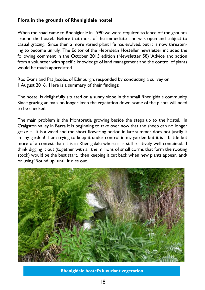#### **Flora in the grounds of Rhenigidale hostel**

When the road came to Rhenigidale in 1990 we were required to fence off the grounds around the hostel. Before that most of the immediate land was open and subject to casual grazing. Since then a more varied plant life has evolved, but it is now threatening to become unruly. The Editor of the Hebridean Hosteller newsletter included the following comment in the October 2015 edition (Newsletter 58) 'Advice and action from a volunteer with specific knowledge of land management and the control of plants would be much appreciated.'

Ros Evans and Pat Jacobs, of Edinburgh, responded by conducting a survey on 1 August 2016. Here is a summary of their findings:

The hostel is delightfully situated on a sunny slope in the small Rhenigidale community. Since grazing animals no longer keep the vegetation down, some of the plants will need to be checked.

The main problem is the Montbretia growing beside the steps up to the hostel. In Craigston valley in Barra it is beginning to take over now that the sheep can no longer graze it. It is a weed and the short flowering period in late summer does not justify it in any garden! I am trying to keep it under control in my garden but it is a battle but more of a contest than it is in Rhenigidale where it is still relatively well contained. I think digging it out (together with all the millions of small corms that form the rooting stock) would be the best start, then keeping it cut back when new plants appear, and/ or using 'Round up' until it dies out.



**Rhenigidale hostel's luxuriant vegetation**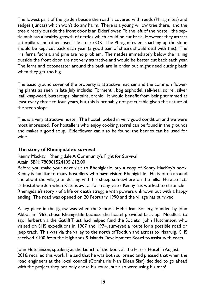The lowest part of the garden beside the road is covered with reeds (Phragmites) and sedges (Juncas) which won't do any harm. There is a young willow tree there, and the tree directly outside the front door is an Elderflower. To the left of the hostel, the septic tank has a healthy growth of nettles which could be cut back. However they attract caterpillars and other insect life so are OK. The Phragmites encroaching up the slope should be kept cut back each year (a good pair of shears should deal with this). The iris, ferns, fuchsia and pine are no problem. The nettles immediately below the railing outside the front door are not very attractive and would be better cut back each year. The ferns and cotoneaster around the back are in order but might need cutting back when they get too big.

The basic ground cover of the property is attractive machair and the common flowering plants as seen in late July include: Tormentil, bog asphodel, self-heal, sorrel, silver leaf, knapweed, buttercups, plantains, orchid. It would benefit from being strimmed at least every three to four years, but this is probably not practicable given the nature of the steep slope.

This is a very attractive hostel. The hostel looked in very good condition and we were most impressed. For hostellers who enjoy cooking, sorrel can be found in the grounds and makes a good soup. Elderflower can also be found; the berries can be used for wine.

#### **The story of Rhenigidale's survival**

#### Kenny Mackay:Rhenigidale A Community's Fight for Survival Acair ISBN: 780861524105 £12.00

Before you make your next visit to Rhenigidale, buy a copy of Kenny MacKay's book. Kenny is familiar to many hostellers who have visited Rhenigidale. He is often around and about the village or dealing with his sheep somewhere on the hills. He also acts as hostel warden when Kate is away. For many years Kenny has worked to chronicle Rhenigidale's story - of a life or death struggle with powers unknown but with a happy ending. The road was opened on 20 February 1990 and the village has survived.

A key piece in the jigsaw was when the Schools Hebridean Society, founded by John Abbot in 1962, chose Rhenigidale because the hostel provided back-up. Needless to say, Herbert via the Gatliff Trust, had helped fund the Society. John Hutchinson, who visited on SHS expeditions in 1967 and 1974, surveyed a route for a possible road or jeep track. This was via the valley to the north of Toddun and across to Maaruig. SHS received £100 from the Highlands & Islands Development Board to assist with costs.

John Hutchinson, speaking at the launch of the book at the Harris Hotel in August 2016, recalled this work. He said that he was both surprised and pleased that when the road engineers at the local council (Comhairle Nan Eilean Siar) decided to go ahead with the project they not only chose his route, but also were using his map!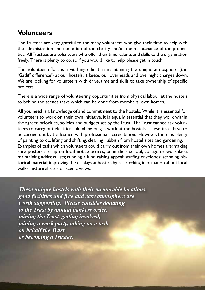## **Volunteers**

The Trustees are very grateful to the many volunteers who give their time to help with the administration and operation of the charity and/or the maintenance of the properties. All Trustees are volunteers who offer their time, talents and skills to the organisation freely. There is plenty to do, so if you would like to help, please get in touch.

The volunteer effort is a vital ingredient in maintaining the unique atmosphere (the 'Gatliff difference') at our hostels. It keeps our overheads and overnight charges down. We are looking for volunteers with drive, time and skills to take ownership of specific projects.

There is a wide range of volunteering opportunities from physical labour at the hostels to behind the scenes tasks which can be done from members' own homes.

All you need is a knowledge of and commitment to the hostels. While it is essential for volunteers to work on their own initiative, it is equally essential that they work within the agreed priorities, policies and budgets set by the Trust. The Trust cannot ask volunteers to carry out electrical, plumbing or gas work at the hostels. These tasks have to be carried out by tradesmen with professional accreditation. However, there is plenty of painting to do, lifting and shifting, clearing rubbish from hostel sites and gardening. Examples of tasks which volunteers could carry out from their own homes are: making sure posters are up on local notice boards, or in their school, college or workplace; maintaining address lists; running a fund raising appeal; stuffing envelopes; scanning historical material; improving the displays at hostels by researching information about local walks, historical sites or scenic views.

*These unique hostels with their memorable locations, good facilities and free and easy atmosphere are worth supporting. Please consider donating to the Trust by annual bankers order, joining the Trust, getting involved, joining a work party, taking on a task on behalf the Trust or becoming a Trustee.*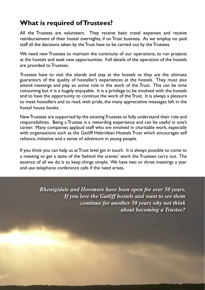## **What is required of Trustees?**

All the Trustees are volunteers. They receive basic travel expenses and receive reimbursement of their hostel overnights, if on Trust business. As we employ no paid staff all the decisions taken by the Trust have to be carried out by the Trustees.

We need new Trustees to maintain the continuity of our operations, to run projects at the hostels and seek new opportunities. Full details of the operation of the hostels are provided to Trustees.

Trustees have to visit the islands and stay at the hostels as they are the ultimate guarantors of the quality of hosteller's experiences at the hostels. They must also attend meetings and play an active role in the work of the Trust. This can be time consuming but it is a hugely enjoyable. It is a privilege to be involved with the hostels and to have the opportunity to continue the work of the Trust. It is always a pleasure to meet hostellers and to read, with pride, the many appreciative messages left in the hostel house books.

New Trustees are supported by the existing Trustees to fully understand their role and responsibilities. Being a Trustee is a rewarding experience and can be useful in one's career. Many companies applaud staff who are involved in charitable work, especially with organisations such as the Gatliff Hebridean Hostels Trust which encourages self reliance, initiative and a sense of adventure in young people.

If you think you can help us at Trust level get in touch. It is always possible to come to a meeting to get a taste of the 'behind the scenes' work the Trustees carry out. The essence of all we do is to keep things simple. We have two or three meetings a year and use telephone conference calls if the need arises.

> *Rhenigidale and Howmore have been open for over 50 years. If you love the Gatliff hostels and want to see them continue for another 50 years why not think about becoming a Trustee?*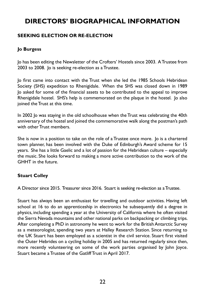## **DIRECTORS' BIOGRAPHICAL INFORMATION**

#### **SEEKING ELECTION OR RE-ELECTION**

#### **Jo Burgess**

Jo has been editing the Newsletter of the Crofters' Hostels since 2003. A Trustee from 2003 to 2008. Jo is seeking re-election as a Trustee.

Jo first came into contact with the Trust when she led the 1985 Schools Hebridean Society (SHS) expedition to Rhenigidale. When the SHS was closed down in 1989 Jo asked for some of the financial assets to be contributed to the appeal to improve Rhenigidale hostel. SHS's help is commemorated on the plaque in the hostel. Jo also joined the Trust at this time.

In 2002 Jo was staying in the old schoolhouse when the Trust was celebrating the 40th anniversary of the hostel and joined the commemorative walk along the postman's path with other Trust members.

She is now in a position to take on the role of a Trustee once more. Jo is a chartered town planner, has been involved with the Duke of Edinburgh's Award scheme for 15 years. She has a little Gaelic and a lot of passion for the Hebridean culture – especially the music. She looks forward to making a more active contribution to the work of the GHHT in the future.

#### **Stuart Colley**

A Director since 2015. Treasurer since 2016. Stuart is seeking re-election as a Trustee.

Stuart has always been an enthusiast for travelling and outdoor activities. Having left school at 16 to do an apprenticeship in electronics he subsequently did a degree in physics, including spending a year at the University of California where he often visited the Sierra Nevada mountains and other national parks on backpacking or climbing trips. After completing a PhD in astronomy he went to work for the British Antarctic Survey as a meteorologist, spending two years at Halley Research Station. Since returning to the UK Stuart has been employed as a scientist in the civil service. Stuart first visited the Outer Hebrides on a cycling holiday in 2005 and has returned regularly since then, more recently volunteering on some of the work parties organised by John Joyce. Stuart became a Trustee of the Gatliff Trust in April 2017.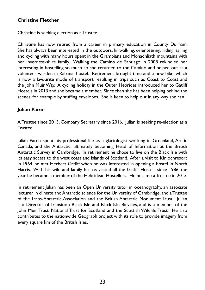#### **Christine Fletcher**

Christine is seeking election as a Trustee.

Christine has now retired from a career in primary education in County Durham. She has always been interested in the outdoors, hillwalking, orienteering, riding, sailing and cycling with many hours spent in the Grampians and Monadhliath mountains with her Inverness-shire family. Walking the Camino de Santiago in 2008 rekindled her interesting in hostelling so much so she returned to the Camino and helped out as a volunteer warden in Rabanal hostel. Retirement brought time and a new bike, which is now a favourite mode of transport resulting in trips such as Coast to Coast and the John Muir Way. A cycling holiday in the Outer Hebrides introduced her to Gatliff Hostels in 2013 and she became a member. Since then she has been helping behind the scenes, for example by stuffing envelopes. She is keen to help out in any way she can.

#### **Julian Paren**

A Trustee since 2013, Company Secretary since 2016. Julian is seeking re-election as a Trustee.

Julian Paren spent his professional life as a glaciologist working in Greenland, Arctic Canada, and the Antarctic, ultimately becoming Head of Information at the British Antarctic Survey in Cambridge. In retirement he chose to live on the Black Isle with its easy access to the west coast and islands of Scotland. After a visit to Kinlochresort in 1964, he met Herbert Gatliff when he was interested in opening a hostel in North Harris. With his wife and family he has visited all the Gatliff Hostels since 1986, the year he became a member of the Hebridean Hostellers. He became a Trustee in 2013.

In retirement Julian has been an Open University tutor in oceanography, an associate lecturer in climate and Antarctic science for the University of Cambridge, and a Trustee of the Trans-Antarctic Association and the British Antarctic Monument Trust. Julian is a Director of Transition Black Isle and Black Isle Bicycles, and is a member of the John Muir Trust, National Trust for Scotland and the Scottish Wildlife Trust. He also contributes to the nationwide Geograph project with its role to provide imagery from every square km of the British Isles.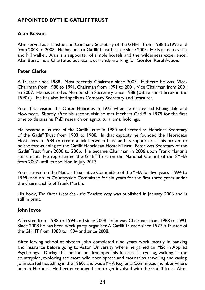#### **APPOINTED BY THE GATLIFF TRUST**

#### **Alan Busson**

Alan served as a Trustee and Company Secretary of the GHHT from 1988 to1995 and from 2003 to 2008. He has been a Gatliff Trust Trustee since 2003. He is a keen cyclist and hill walker. Alan is a supporter of simple hostels and the 'wilderness experience'. Alan Busson is a Chartered Secretary, currently working for Gordon Rural Action.

#### **Peter Clarke**

A Trustee since 1988. Most recently Chairman since 2007. Hitherto he was Vice-Chairman from 1988 to 1991, Chairman from 1991 to 2001, Vice Chairman from 2001 to 2007. He has acted as Membership Secretary since 1988 (with a short break in the 1990s.) He has also had spells as Company Secretary and Treasurer.

Peter first visited the Outer Hebrides in 1973 when he discovered Rhenigidale and Howmore. Shortly after his second visit he met Herbert Gatliff in 1975 for the first time to discuss his PhD research on agricultural smallholdings.

He became a Trustee of the Gatliff Trust in 1980 and served as Hebrides Secretary of the Gatliff Trust from 1983 to 1988. In that capacity he founded the Hebridean Hostellers in 1984 to create a link between Trust and its supporters. This proved to be the fore-running to the Gatliff Hebridean Hostels Trust. Peter was Secretary of the Gatliff Trust from 2000 to 2006. He became Chairman in 2006 upon Frank Martin's retirement. He represented the Gatliff Trust on the National Council of the SYHA from 2007 until its abolition in July 2013.

Peter served on the National Executive Committee of the YHA for five years (1994 to 1999) and on its Countryside Committee for six years for the first three years under the chairmanship of Frank Martin.

His book, *The Outer Hebrides - the Timeless Way* was published in January 2006 and is still in print.

#### **John Joyce**

A Trustee from 1988 to 1994 and since 2008. John was Chairman from 1988 to 1991. Since 2008 he has been work party organiser. A Gatliff Trustee since 1977, a Trustee of the GHHT from 1988 to 1994 and since 2008.

After leaving school at sixteen John completed nine years work mostly in banking and insurance before going to Aston University where he gained an MSc in Applied Psychology. During this period he developed his interest in cycling, walking in the countryside, exploring the more wild open spaces and mountains, travelling and caving. John started hostelling in the 1960s and was a YHA Regional Committee member where he met Herbert. Herbert encouraged him to get involved with the Gatliff Trust. After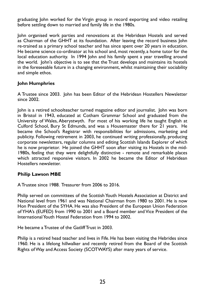graduating John worked for the Virgin group in record exporting and video retailing before settling down to married and family life in the 1980s.

John organised work parties and renovations at the Hebridean Hostels and served as Chairman of the GHHT at its foundation. After leaving the record business John re-trained as a primary school teacher and has since spent over 20 years in education. He became science co-ordinator at his school and, most recently, a home tutor for the local education authority. In 1994 John and his family spent a year travelling around the world. John's objective is to see that the Trust develops and maintains its hostels in the foreseeable future in a changing environment, whilst maintaining their sociability and simple ethos.

#### **John Humphries**

A Trustee since 2003. John has been Editor of the Hebridean Hostellers Newsletter since 2002.

John is a retired schoolteacher turned magazine editor and journalist. John was born in Bristol in 1943, educated at Cotham Grammar School and graduated from the University of Wales, Aberystwyth. For most of his working life he taught English at Culford School, Bury St Edmunds, and was a Housemaster there for 21 years. He became the School's Registrar with responsibilities for admissions, marketing and publicity. Following retirement in 2003, he continued writing professionally, producing corporate newsletters, regular columns and editing Scottish Islands Explorer of which he is now proprietor. He joined the GHHT soon after visiting its Hostels in the mid-1980s, feeling that they were delightfully distinctive - remote and remarkable places which attracted responsive visitors. In 2002 he became the Editor of Hebridean Hostellers newsletter.

#### **Philip Lawson MBE**

A Trustee since 1988. Treasurer from 2006 to 2016.

Philip served on committees of the Scottish Youth Hostels Association at District and National level from 1961 and was National Chairman from 1980 to 2001. He is now Hon President of the SYHA. He was also President of the European Union Federation of YHA's (EUFED) from 1990 to 2001 and a Board member and Vice President of the International Youth Hostel Federation from 1994 to 2002.

He became a Trustee of the Gatliff Trust in 2003.

Philip is a retired head teacher and lives in Fife. He has been visiting the Hebrides since 1960. He is a lifelong hillwalker and recently retired from the Board of the Scottish Rights of Way and Access Society (SCOTWAYS) after many years of service.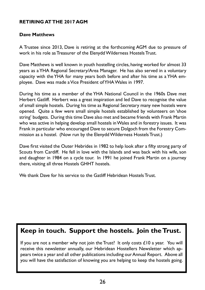#### **RETIRING AT THE 2017 AGM**

#### **Dave Matthews**

A Trustee since 2013, Dave is retiring at the forthcoming AGM due to pressure of work in his role as Treasurer of the Elenydd Wilderness Hostels Trust.

Dave Matthews is well known in youth hostelling circles, having worked for almost 33 years as a YHA Regional Secretary/Area Manager. He has also served in a voluntary capacity with the YHA for many years both before and after his time as a YHA employee. Dave was made a Vice President of YHA Wales in 1997.

During his time as a member of the YHA National Council in the 1960s Dave met Herbert Gatliff. Herbert was a great inspiration and led Dave to recognise the value of small simple hostels. During his time as Regional Secretary many new hostels were opened. Quite a few were small simple hostels established by volunteers on 'shoe string' budgets. During this time Dave also met and became friends with Frank Martin who was active in helping develop small hostels in Wales and in forestry issues. It was Frank in particular who encouraged Dave to secure Dolgoch from the Forestry Commission as a hostel. (Now run by the Elenydd Wilderness Hostels Trust.)

Dave first visited the Outer Hebrides in 1982 to help look after a fifty strong party of Scouts from Cardiff. He fell in love with the Islands and was back with his wife, son and daughter in 1984 on a cycle tour. In 1991 he joined Frank Martin on a journey there, visiting all three Hostels GHHT hostels.

We thank Dave for his service to the Gatliff Hebridean Hostels Trust.

# **Keep in touch. Support the hostels. Join the Trust.**

If you are not a member why not join the Trust? It only costs  $£10$  a year. You will receive this newsletter annually, our Hebridean Hostellers Newsletter which appears twice a year and all other publications including our Annual Report. Above all you will have the satisfaction of knowing you are helping to keep the hostels going.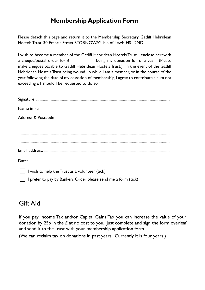## **Membership Application Form**

Please detach this page and return it to the Membership Secretary, Gatliff Hebridean Hostels Trust, 30 Francis Street STORNOWAY Isle of Lewis HS1 2ND

I wish to become a member of the Gatliff Hebridean Hostels Trust. I enclose herewith a cheque/postal order for  $f_{\text{2}}$  being my donation for one year. (Please make cheques payable to Gatliff Hebridean Hostels Trust.) In the event of the Gatliff Hebridean Hostels Trust being wound up while I am a member, or in the course of the year following the date of my cessation of membership, I agree to contribute a sum not exceeding £1 should I be requested to do so.

| Signature <b>contract of the contract of the contract of the contract of the contract of the contract of the contract of the contract of the contract of the contract of the contract of the contract of the contract of the con</b> |
|--------------------------------------------------------------------------------------------------------------------------------------------------------------------------------------------------------------------------------------|
| Name in Full <b>South According to the Contract of Table 201</b>                                                                                                                                                                     |
| Address & Postcode <b>Address &amp; Postcode</b>                                                                                                                                                                                     |
|                                                                                                                                                                                                                                      |
|                                                                                                                                                                                                                                      |
|                                                                                                                                                                                                                                      |
|                                                                                                                                                                                                                                      |
|                                                                                                                                                                                                                                      |
| I wish to help the Trust as a volunteer (tick)                                                                                                                                                                                       |
| I prefer to pay by Bankers Order please send me a form (tick)                                                                                                                                                                        |

## Gift Aid

If you pay Income Tax and/or Capital Gains Tax you can increase the value of your donation by 25p in the  $\pounds$  at no cost to you. Just complete and sign the form overleaf and send it to the Trust with your membership application form.

(We can reclaim tax on donations in past years. Currently it is four years.)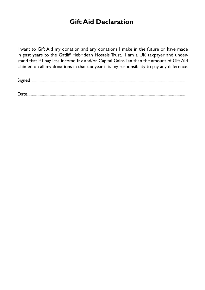## **Gift Aid Declaration**

I want to Gift Aid my donation and any donations I make in the future or have made in past years to the Gatliff Hebridean Hostels Trust. I am a UK taxpayer and understand that if I pay less Income Tax and/or Capital Gains Tax than the amount of Gift Aid claimed on all my donations in that tax year it is my responsibility to pay any difference.

| <b>.</b> |  |  |  |
|----------|--|--|--|
|----------|--|--|--|

 $\textsf{Date}$